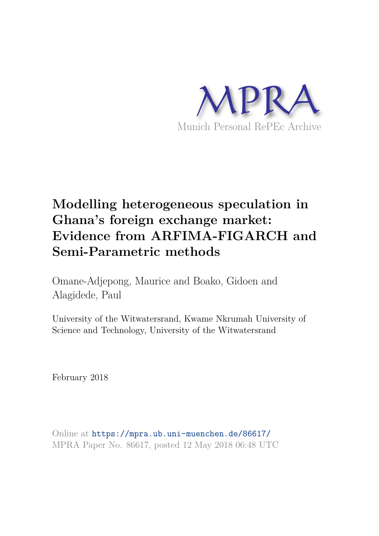

# **Modelling heterogeneous speculation in Ghana's foreign exchange market: Evidence from ARFIMA-FIGARCH and Semi-Parametric methods**

Omane-Adjepong, Maurice and Boako, Gidoen and Alagidede, Paul

University of the Witwatersrand, Kwame Nkrumah University of Science and Technology, University of the Witwatersrand

February 2018

Online at https://mpra.ub.uni-muenchen.de/86617/ MPRA Paper No. 86617, posted 12 May 2018 06:48 UTC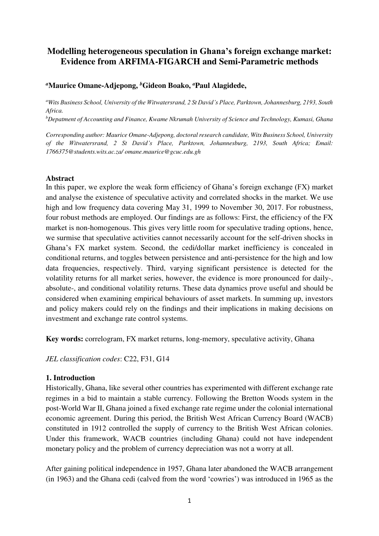# **Modelling heterogeneous speculation in Ghana's foreign exchange market: Evidence from ARFIMA-FIGARCH and Semi-Parametric methods**

# *<sup>a</sup>***Maurice Omane-Adjepong,** *<sup>b</sup>***Gideon Boako,** *<sup>a</sup>***Paul Alagidede,**

*<sup>a</sup>Wits Business School, University of the Witwatersrand, 2 St David's Place, Parktown, Johannesburg, 2193, South Africa.* 

*<sup>b</sup>Depatment of Accounting and Finance, Kwame Nkrumah University of Science and Technology, Kumasi, Ghana* 

*Corresponding author: Maurice Omane-Adjepong, doctoral research candidate, Wits Business School, University of the Witwatersrand, 2 St David's Place, Parktown, Johannesburg, 2193, South Africa; Email: 1766375@students.wits.ac.za/ omane.maurice@gcuc.edu.gh* 

## **Abstract**

In this paper, we explore the weak form efficiency of Ghana's foreign exchange (FX) market and analyse the existence of speculative activity and correlated shocks in the market. We use high and low frequency data covering May 31, 1999 to November 30, 2017. For robustness, four robust methods are employed. Our findings are as follows: First, the efficiency of the FX market is non-homogenous. This gives very little room for speculative trading options, hence, we surmise that speculative activities cannot necessarily account for the self-driven shocks in Ghana's FX market system. Second, the cedi/dollar market inefficiency is concealed in conditional returns, and toggles between persistence and anti-persistence for the high and low data frequencies, respectively. Third, varying significant persistence is detected for the volatility returns for all market series, however, the evidence is more pronounced for daily-, absolute-, and conditional volatility returns. These data dynamics prove useful and should be considered when examining empirical behaviours of asset markets. In summing up, investors and policy makers could rely on the findings and their implications in making decisions on investment and exchange rate control systems.

**Key words:** correlogram, FX market returns, long-memory, speculative activity, Ghana

*JEL classification codes*: C22, F31, G14

# **1. Introduction**

Historically, Ghana, like several other countries has experimented with different exchange rate regimes in a bid to maintain a stable currency. Following the Bretton Woods system in the post-World War II, Ghana joined a fixed exchange rate regime under the colonial international economic agreement. During this period, the British West African Currency Board (WACB) constituted in 1912 controlled the supply of currency to the British West African colonies. Under this framework, WACB countries (including Ghana) could not have independent monetary policy and the problem of currency depreciation was not a worry at all.

After gaining political independence in 1957, Ghana later abandoned the WACB arrangement (in 1963) and the Ghana cedi (calved from the word 'cowries') was introduced in 1965 as the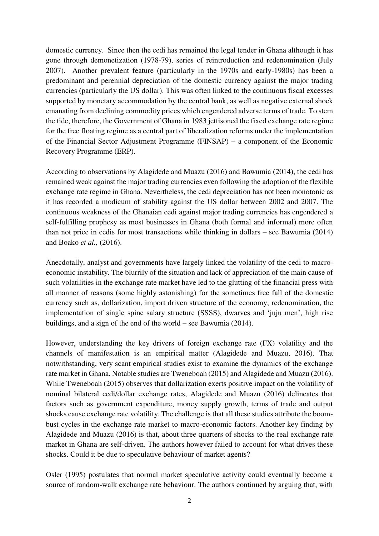domestic currency. Since then the cedi has remained the legal tender in Ghana although it has gone through demonetization (1978-79), series of reintroduction and redenomination (July 2007). Another prevalent feature (particularly in the 1970s and early-1980s) has been a predominant and perennial depreciation of the domestic currency against the major trading currencies (particularly the US dollar). This was often linked to the continuous fiscal excesses supported by monetary accommodation by the central bank, as well as negative external shock emanating from declining commodity prices which engendered adverse terms of trade. To stem the tide, therefore, the Government of Ghana in 1983 jettisoned the fixed exchange rate regime for the free floating regime as a central part of liberalization reforms under the implementation of the Financial Sector Adjustment Programme (FINSAP) – a component of the Economic Recovery Programme (ERP).

According to observations by Alagidede and Muazu (2016) and Bawumia (2014), the cedi has remained weak against the major trading currencies even following the adoption of the flexible exchange rate regime in Ghana. Nevertheless, the cedi depreciation has not been monotonic as it has recorded a modicum of stability against the US dollar between 2002 and 2007. The continuous weakness of the Ghanaian cedi against major trading currencies has engendered a self-fulfilling prophesy as most businesses in Ghana (both formal and informal) more often than not price in cedis for most transactions while thinking in dollars – see Bawumia (2014) and Boako *et al.,* (2016).

Anecdotally, analyst and governments have largely linked the volatility of the cedi to macroeconomic instability. The blurrily of the situation and lack of appreciation of the main cause of such volatilities in the exchange rate market have led to the glutting of the financial press with all manner of reasons (some highly astonishing) for the sometimes free fall of the domestic currency such as, dollarization, import driven structure of the economy, redenomination, the implementation of single spine salary structure (SSSS), dwarves and 'juju men', high rise buildings, and a sign of the end of the world – see Bawumia (2014).

However, understanding the key drivers of foreign exchange rate (FX) volatility and the channels of manifestation is an empirical matter (Alagidede and Muazu, 2016). That notwithstanding, very scant empirical studies exist to examine the dynamics of the exchange rate market in Ghana. Notable studies are Tweneboah (2015) and Alagidede and Muazu (2016). While Tweneboah (2015) observes that dollarization exerts positive impact on the volatility of nominal bilateral cedi/dollar exchange rates, Alagidede and Muazu (2016) delineates that factors such as government expenditure, money supply growth, terms of trade and output shocks cause exchange rate volatility. The challenge is that all these studies attribute the boombust cycles in the exchange rate market to macro-economic factors. Another key finding by Alagidede and Muazu (2016) is that, about three quarters of shocks to the real exchange rate market in Ghana are self-driven. The authors however failed to account for what drives these shocks. Could it be due to speculative behaviour of market agents?

Osler (1995) postulates that normal market speculative activity could eventually become a source of random-walk exchange rate behaviour. The authors continued by arguing that, with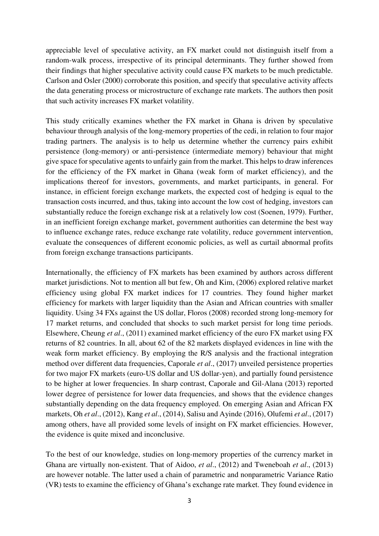appreciable level of speculative activity, an FX market could not distinguish itself from a random-walk process, irrespective of its principal determinants. They further showed from their findings that higher speculative activity could cause FX markets to be much predictable. Carlson and Osler (2000) corroborate this position, and specify that speculative activity affects the data generating process or microstructure of exchange rate markets. The authors then posit that such activity increases FX market volatility.

This study critically examines whether the FX market in Ghana is driven by speculative behaviour through analysis of the long-memory properties of the cedi, in relation to four major trading partners. The analysis is to help us determine whether the currency pairs exhibit persistence (long-memory) or anti-persistence (intermediate memory) behaviour that might give space for speculative agents to unfairly gain from the market. This helps to draw inferences for the efficiency of the FX market in Ghana (weak form of market efficiency), and the implications thereof for investors, governments, and market participants, in general. For instance, in efficient foreign exchange markets, the expected cost of hedging is equal to the transaction costs incurred, and thus, taking into account the low cost of hedging, investors can substantially reduce the foreign exchange risk at a relatively low cost (Soenen, 1979). Further, in an inefficient foreign exchange market, government authorities can determine the best way to influence exchange rates, reduce exchange rate volatility, reduce government intervention, evaluate the consequences of different economic policies, as well as curtail abnormal profits from foreign exchange transactions participants.

Internationally, the efficiency of FX markets has been examined by authors across different market jurisdictions. Not to mention all but few, Oh and Kim, (2006) explored relative market efficiency using global FX market indices for 17 countries. They found higher market efficiency for markets with larger liquidity than the Asian and African countries with smaller liquidity. Using 34 FXs against the US dollar, Floros (2008) recorded strong long-memory for 17 market returns, and concluded that shocks to such market persist for long time periods. Elsewhere, Cheung *et al*., (2011) examined market efficiency of the euro FX market using FX returns of 82 countries. In all, about 62 of the 82 markets displayed evidences in line with the weak form market efficiency. By employing the R/S analysis and the fractional integration method over different data frequencies, Caporale *et al*., (2017) unveiled persistence properties for two major FX markets (euro-US dollar and US dollar-yen), and partially found persistence to be higher at lower frequencies. In sharp contrast, Caporale and Gil-Alana (2013) reported lower degree of persistence for lower data frequencies, and shows that the evidence changes substantially depending on the data frequency employed. On emerging Asian and African FX markets, Oh *et al*., (2012), Kang *et al*., (2014), Salisu and Ayinde (2016), Olufemi *et al*., (2017) among others, have all provided some levels of insight on FX market efficiencies. However, the evidence is quite mixed and inconclusive.

To the best of our knowledge, studies on long-memory properties of the currency market in Ghana are virtually non-existent. That of Aidoo, *et al*., (2012) and Tweneboah *et al*., (2013) are however notable. The latter used a chain of parametric and nonparametric Variance Ratio (VR) tests to examine the efficiency of Ghana's exchange rate market. They found evidence in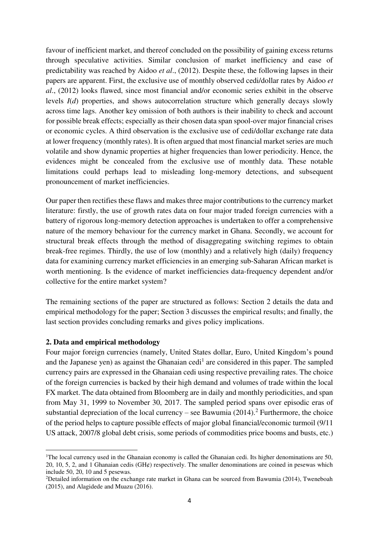favour of inefficient market, and thereof concluded on the possibility of gaining excess returns through speculative activities. Similar conclusion of market inefficiency and ease of predictability was reached by Aidoo *et al*., (2012). Despite these, the following lapses in their papers are apparent. First, the exclusive use of monthly observed cedi/dollar rates by Aidoo *et al*., (2012) looks flawed, since most financial and/or economic series exhibit in the observe levels *I*(*d*) properties, and shows autocorrelation structure which generally decays slowly across time lags. Another key omission of both authors is their inability to check and account for possible break effects; especially as their chosen data span spool-over major financial crises or economic cycles. A third observation is the exclusive use of cedi/dollar exchange rate data at lower frequency (monthly rates). It is often argued that most financial market series are much volatile and show dynamic properties at higher frequencies than lower periodicity. Hence, the evidences might be concealed from the exclusive use of monthly data. These notable limitations could perhaps lead to misleading long-memory detections, and subsequent pronouncement of market inefficiencies.

Our paper then rectifies these flaws and makes three major contributions to the currency market literature: firstly, the use of growth rates data on four major traded foreign currencies with a battery of rigorous long-memory detection approaches is undertaken to offer a comprehensive nature of the memory behaviour for the currency market in Ghana. Secondly, we account for structural break effects through the method of disaggregating switching regimes to obtain break-free regimes. Thirdly, the use of low (monthly) and a relatively high (daily) frequency data for examining currency market efficiencies in an emerging sub-Saharan African market is worth mentioning. Is the evidence of market inefficiencies data-frequency dependent and/or collective for the entire market system?

The remaining sections of the paper are structured as follows: Section 2 details the data and empirical methodology for the paper; Section 3 discusses the empirical results; and finally, the last section provides concluding remarks and gives policy implications.

# **2. Data and empirical methodology**

 $\overline{a}$ 

Four major foreign currencies (namely, United States dollar, Euro, United Kingdom's pound and the Japanese yen) as against the Ghanaian cedi<sup>1</sup> are considered in this paper. The sampled currency pairs are expressed in the Ghanaian cedi using respective prevailing rates. The choice of the foreign currencies is backed by their high demand and volumes of trade within the local FX market. The data obtained from Bloomberg are in daily and monthly periodicities, and span from May 31, 1999 to November 30, 2017. The sampled period spans over episodic eras of substantial depreciation of the local currency – see Bawumia  $(2014)$ .<sup>2</sup> Furthermore, the choice of the period helps to capture possible effects of major global financial/economic turmoil (9/11 US attack, 2007/8 global debt crisis, some periods of commodities price booms and busts, etc.)

<sup>&</sup>lt;sup>1</sup>The local currency used in the Ghanaian economy is called the Ghanaian cedi. Its higher denominations are 50, 20, 10, 5, 2, and 1 Ghanaian cedis (GH¢) respectively. The smaller denominations are coined in pesewas which include 50, 20, 10 and 5 pesewas.

<sup>&</sup>lt;sup>2</sup>Detailed information on the exchange rate market in Ghana can be sourced from Bawumia (2014). Tweneboah (2015), and Alagidede and Muazu (2016).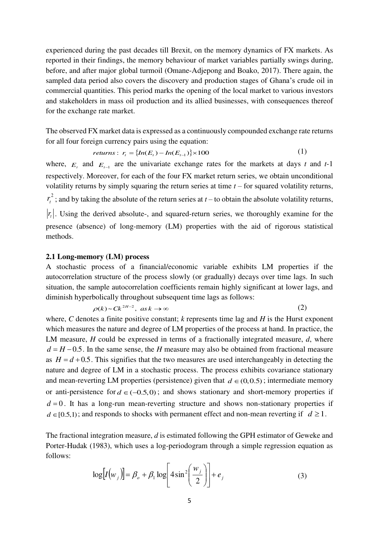experienced during the past decades till Brexit, on the memory dynamics of FX markets. As reported in their findings, the memory behaviour of market variables partially swings during, before, and after major global turmoil (Omane-Adjepong and Boako, 2017). There again, the sampled data period also covers the discovery and production stages of Ghana's crude oil in commercial quantities. This period marks the opening of the local market to various investors and stakeholders in mass oil production and its allied businesses, with consequences thereof for the exchange rate market.

The observed FX market data is expressed as a continuously compounded exchange rate returns for all four foreign currency pairs using the equation:

*returns*: 
$$
r_t = \{In(E_t) - In(E_{t-1})\} \times 100
$$
 (1)

where,  $E_t$  and  $E_{t-1}$  are the univariate exchange rates for the markets at days *t* and *t*-1 respectively. Moreover, for each of the four FX market return series, we obtain unconditional volatility returns by simply squaring the return series at time *t* – for squared volatility returns, 2  $r_t^2$ ; and by taking the absolute of the return series at *t* – to obtain the absolute volatility returns, *t r* . Using the derived absolute-, and squared-return series, we thoroughly examine for the presence (absence) of long-memory (LM) properties with the aid of rigorous statistical methods.

#### **2.1 Long-memory (LM) process**

A stochastic process of a financial/economic variable exhibits LM properties if the autocorrelation structure of the process slowly (or gradually) decays over time lags. In such situation, the sample autocorrelation coefficients remain highly significant at lower lags, and diminish hyperbolically throughout subsequent time lags as follows:

$$
\rho(k) \sim C k^{2H-2}, \quad \text{as } k \to \infty \tag{2}
$$

where, *C* denotes a finite positive constant; *k* represents time lag and *H* is the Hurst exponent which measures the nature and degree of LM properties of the process at hand. In practice, the LM measure, *H* could be expressed in terms of a fractionally integrated measure, *d*, where  $d = H - 0.5$ . In the same sense, the *H* measure may also be obtained from fractional measure as  $H = d + 0.5$ . This signifies that the two measures are used interchangeably in detecting the nature and degree of LM in a stochastic process. The process exhibits covariance stationary and mean-reverting LM properties (persistence) given that  $d \in (0,0.5)$ ; intermediate memory or anti-persistence for  $d \in (-0.5,0)$ ; and shows stationary and short-memory properties if  $d = 0$ . It has a long-run mean-reverting structure and shows non-stationary properties if  $d \in [0.5,1)$ ; and responds to shocks with permanent effect and non-mean reverting if  $d \ge 1$ .

The fractional integration measure, *d* is estimated following the GPH estimator of Geweke and Porter-Hudak (1983), which uses a log-periodogram through a simple regression equation as follows:

$$
\log[I(w_j)] = \beta_o + \beta_1 \log\left[4 \sin^2\left(\frac{w_j}{2}\right)\right] + e_j \tag{3}
$$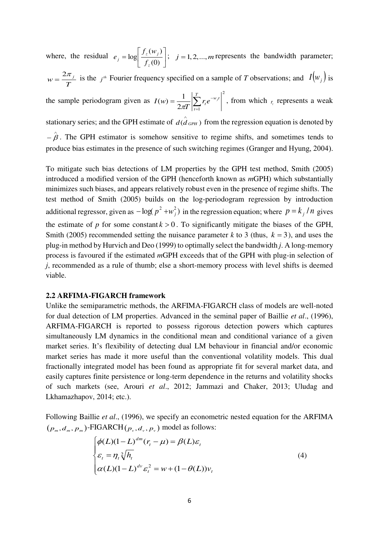where, the residual  $e_j = \log \left| \frac{J_z(m_j)}{f_r(m)} \right|$  $\overline{\phantom{a}}$   $\mathsf{L}$ L  $\mathbf{r}$ =  $(0)$  $(w_i)$ log *z z j*  $\left| \int f \right|$  $e_i = \log \left| \frac{f_z(w_i)}{g_z(w_i)} \right|$ ;  $j = 1, 2, ..., m$  represents the bandwidth parameter;

$$
w = \frac{2\pi_j}{T}
$$
 is the  $j^{\omega}$  Fourier frequency specified on a sample of T observations; and  $I(w_j)$  is

the sample periodogram given as 2  $2\pi T\left| \frac{Z}{t=1}\right|$  $(w) = \frac{1}{2\pi T} \left| \sum_{t=1}^{T} r_t e^{-t} \right|$ *t*  $w_i$  $r_t e^{-w_j}$ *T*  $I(w) = \frac{1}{2\pi T} \left| \sum_{i=1}^T r_i e^{-w_j t} \right|$ , from which  $r_i$  represents a weak

stationary series; and the GPH estimate of  $\hat{d(d_{GPH})}$  from the regression equation is denoted by  $-\hat{\beta}$ . The GPH estimator is somehow sensitive to regime shifts, and sometimes tends to produce bias estimates in the presence of such switching regimes (Granger and Hyung, 2004).

To mitigate such bias detections of LM properties by the GPH test method, Smith (2005) introduced a modified version of the GPH (henceforth known as *m*GPH) which substantially minimizes such biases, and appears relatively robust even in the presence of regime shifts. The test method of Smith (2005) builds on the log-periodogram regression by introduction additional regressor, given as  $-\log(p^2 + w^2)$  in the regression equation; where  $p = k_j/n$  gives the estimate of *p* for some constant  $k > 0$ . To significantly mitigate the biases of the GPH, Smith (2005) recommended setting the nuisance parameter *k* to 3 (thus,  $k = 3$ ), and uses the plug-in method by Hurvich and Deo (1999) to optimally select the bandwidth *j*. A long-memory process is favoured if the estimated *m*GPH exceeds that of the GPH with plug-in selection of *j*, recommended as a rule of thumb; else a short-memory process with level shifts is deemed viable.

## **2.2 ARFIMA-FIGARCH framework**

Unlike the semiparametric methods, the ARFIMA-FIGARCH class of models are well-noted for dual detection of LM properties. Advanced in the seminal paper of Baillie *et al*., (1996), ARFIMA-FIGARCH is reported to possess rigorous detection powers which captures simultaneously LM dynamics in the conditional mean and conditional variance of a given market series. It's flexibility of detecting dual LM behaviour in financial and/or economic market series has made it more useful than the conventional volatility models. This dual fractionally integrated model has been found as appropriate fit for several market data, and easily captures finite persistence or long-term dependence in the returns and volatility shocks of such markets (see, Arouri *et al*., 2012; Jammazi and Chaker, 2013; Uludag and Lkhamazhapov, 2014; etc.).

Following Baillie *et al*., (1996), we specify an econometric nested equation for the ARFIMA  $(p_m, d_m, p_m)$ -FIGARCH  $(p_v, d_v, p_v)$  model as follows:

$$
\begin{cases}\n\phi(L)(1-L)^{dm}(r_t - \mu) = \beta(L)\varepsilon_t \\
\varepsilon_t = \eta_t \sqrt[2]{h_t} \\
\alpha(L)(1-L)^{dv} \varepsilon_t^2 = w + (1-\theta(L))v_t\n\end{cases}
$$
\n(4)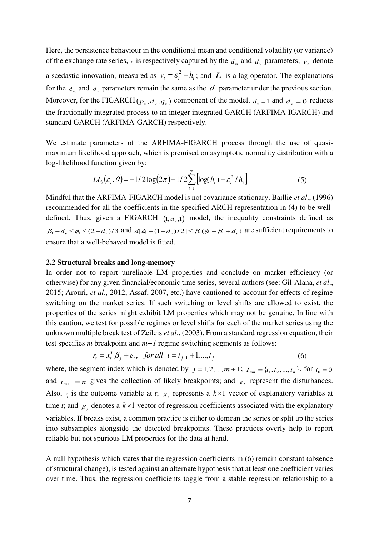Here, the persistence behaviour in the conditional mean and conditional volatility (or variance) of the exchange rate series,  $r_t$  is respectively captured by the  $d_m$  and  $d_v$  parameters;  $v_t$  denote a scedastic innovation, measured as  $v_t = \varepsilon_t^2 - h_t$ ; and L is a lag operator. The explanations for the  $d_m$  and  $d_v$  parameters remain the same as the  $d$  parameter under the previous section. Moreover, for the FIGARCH  $(p_v, d_v, q_v)$  component of the model,  $d_v = 1$  and  $d_v = 0$  reduces the fractionally integrated process to an integer integrated GARCH (ARFIMA-IGARCH) and standard GARCH (ARFIMA-GARCH) respectively.

We estimate parameters of the ARFIMA-FIGARCH process through the use of quasimaximum likelihood approach, which is premised on asymptotic normality distribution with a log-likelihood function given by:

$$
LL_{t}(\varepsilon_{t}, \theta) = -1/2 \log(2\pi) - 1/2 \sum_{t=1}^{T} \left[ \log(h_{t}) + \varepsilon_{t}^{2} / h_{t} \right]
$$
(5)

Mindful that the ARFIMA-FIGARCH model is not covariance stationary, Baillie *et al*., (1996) recommended for all the coefficients in the specified ARCH representation in (4) to be welldefined. Thus, given a FIGARCH  $(1, d_v, 1)$  model, the inequality constraints defined as  $\beta_1 - d_v \le \phi_1 \le (2 - d_v)/3$  and  $d[\phi_1 - (1 - d_v)/2] \le \beta_1(\phi_1 - \beta_1 + d_v)$  are sufficient requirements to ensure that a well-behaved model is fitted.

#### **2.2 Structural breaks and long-memory**

In order not to report unreliable LM properties and conclude on market efficiency (or otherwise) for any given financial/economic time series, several authors (see: Gil-Alana, *et al*., 2015; Arouri, *et al*., 2012, Assaf, 2007, etc.) have cautioned to account for effects of regime switching on the market series. If such switching or level shifts are allowed to exist, the properties of the series might exhibit LM properties which may not be genuine. In line with this caution, we test for possible regimes or level shifts for each of the market series using the unknown multiple break test of Zeileis *et al*., (2003). From a standard regression equation, their test specifies *m* breakpoint and *m+1* regime switching segments as follows:

$$
r_{t} = x_{t}^{T} \beta_{j} + e_{t}, \quad \text{for all} \quad t = t_{j-1} + 1, \dots, t_{j} \tag{6}
$$

where, the segment index which is denoted by  $j = 1, 2, ..., m + 1$ ;  $I_{mn} = \{t_1, t_2, ..., t_n\}$ , for  $t_0 = 0$ and  $t_{m+1} = n$  gives the collection of likely breakpoints; and  $e_t$  represent the disturbances. Also,  $r<sub>i</sub>$  is the outcome variable at *t*;  $x<sub>i</sub>$  represents a  $k \times 1$  vector of explanatory variables at time *t*; and  $\beta$  denotes a  $k \times 1$  vector of regression coefficients associated with the explanatory variables. If breaks exist, a common practice is either to demean the series or split up the series into subsamples alongside the detected breakpoints. These practices overly help to report reliable but not spurious LM properties for the data at hand.

A null hypothesis which states that the regression coefficients in (6) remain constant (absence of structural change), is tested against an alternate hypothesis that at least one coefficient varies over time. Thus, the regression coefficients toggle from a stable regression relationship to a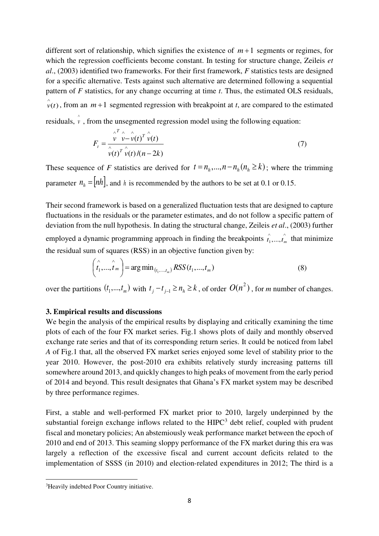different sort of relationship, which signifies the existence of  $m+1$  segments or regimes, for which the regression coefficients become constant. In testing for structure change, Zeileis *et al*., (2003) identified two frameworks. For their first framework, *F* statistics tests are designed for a specific alternative. Tests against such alternative are determined following a sequential pattern of *F* statistics, for any change occurring at time *t*. Thus, the estimated OLS residuals,  $\hat{v}(t)$ , from an  $m+1$  segmented regression with breakpoint at *t*, are compared to the estimated residuals,  $\hat{v}$ , from the unsegmented regression model using the following equation:

$$
F_t = \frac{\int_0^T \left(\hat{v} - \hat{v}(t)\right)^T \hat{v}(t)}{\int_0^T \left(\hat{v}(t)\right) \left((n-2k)\right)}\tag{7}
$$

These sequence of *F* statistics are derived for  $t = n_h, ..., n - n_h (n_h \ge k)$ ; where the trimming parameter  $n_h = [nh]$ , and *h* is recommended by the authors to be set at 0.1 or 0.15.

Their second framework is based on a generalized fluctuation tests that are designed to capture fluctuations in the residuals or the parameter estimates, and do not follow a specific pattern of deviation from the null hypothesis. In dating the structural change, Zeileis *et al*., (2003) further employed a dynamic programming approach in finding the breakpoints  $\hat{i_1},...,\hat{i_n}$  $\hat{t}_1$ ,..., $\hat{t}_m$  that minimize the residual sum of squares (RSS) in an objective function given by:

$$
\left(\hat{t}_1^{\wedge}, \hat{t}_m\right) = \arg\min_{(t_1, \dots, t_m)} RSS(t_1, \dots, t_m)
$$
\n(8)

over the partitions  $(t_1,...,t_m)$  with  $t_j - t_{j-1} \ge n_h \ge k$ , of order  $O(n^2)$ , for *m* number of changes.

# **3. Empirical results and discussions**

We begin the analysis of the empirical results by displaying and critically examining the time plots of each of the four FX market series. Fig.1 shows plots of daily and monthly observed exchange rate series and that of its corresponding return series. It could be noticed from label *A* of Fig.1 that, all the observed FX market series enjoyed some level of stability prior to the year 2010. However, the post-2010 era exhibits relatively sturdy increasing patterns till somewhere around 2013, and quickly changes to high peaks of movement from the early period of 2014 and beyond. This result designates that Ghana's FX market system may be described by three performance regimes.

First, a stable and well-performed FX market prior to 2010, largely underpinned by the substantial foreign exchange inflows related to the  $HIPC<sup>3</sup>$  debt relief, coupled with prudent fiscal and monetary policies; An abstemiously weak performance market between the epoch of 2010 and end of 2013. This seaming sloppy performance of the FX market during this era was largely a reflection of the excessive fiscal and current account deficits related to the implementation of SSSS (in 2010) and election-related expenditures in 2012; The third is a

 $\overline{a}$ 

<sup>3</sup>Heavily indebted Poor Country initiative.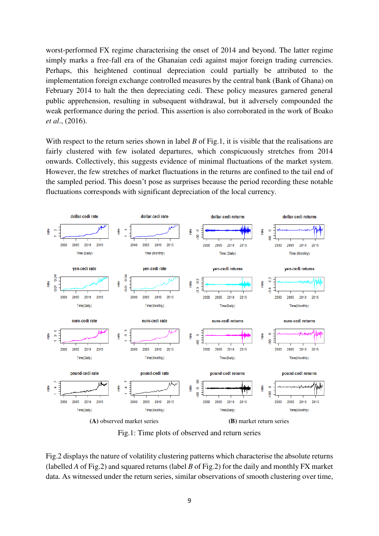worst-performed FX regime characterising the onset of 2014 and beyond. The latter regime simply marks a free-fall era of the Ghanaian cedi against major foreign trading currencies. Perhaps, this heightened continual depreciation could partially be attributed to the implementation foreign exchange controlled measures by the central bank (Bank of Ghana) on February 2014 to halt the then depreciating cedi. These policy measures garnered general public apprehension, resulting in subsequent withdrawal, but it adversely compounded the weak performance during the period. This assertion is also corroborated in the work of Boako *et al*., (2016).

With respect to the return series shown in label *B* of Fig.1, it is visible that the realisations are fairly clustered with few isolated departures, which conspicuously stretches from 2014 onwards. Collectively, this suggests evidence of minimal fluctuations of the market system. However, the few stretches of market fluctuations in the returns are confined to the tail end of the sampled period. This doesn't pose as surprises because the period recording these notable fluctuations corresponds with significant depreciation of the local currency.



Fig.1: Time plots of observed and return series

Fig.2 displays the nature of volatility clustering patterns which characterise the absolute returns (labelled *A* of Fig.2) and squared returns (label *B* of Fig.2) for the daily and monthly FX market data. As witnessed under the return series, similar observations of smooth clustering over time,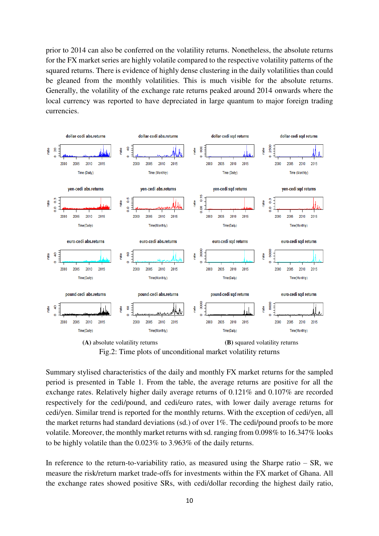prior to 2014 can also be conferred on the volatility returns. Nonetheless, the absolute returns for the FX market series are highly volatile compared to the respective volatility patterns of the squared returns. There is evidence of highly dense clustering in the daily volatilities than could be gleaned from the monthly volatilities. This is much visible for the absolute returns. Generally, the volatility of the exchange rate returns peaked around 2014 onwards where the local currency was reported to have depreciated in large quantum to major foreign trading currencies.



Fig.2: Time plots of unconditional market volatility returns

Summary stylised characteristics of the daily and monthly FX market returns for the sampled period is presented in Table 1. From the table, the average returns are positive for all the exchange rates. Relatively higher daily average returns of 0.121% and 0.107% are recorded respectively for the cedi/pound, and cedi/euro rates, with lower daily average returns for cedi/yen. Similar trend is reported for the monthly returns. With the exception of cedi/yen, all the market returns had standard deviations (sd.) of over 1%. The cedi/pound proofs to be more volatile. Moreover, the monthly market returns with sd. ranging from 0.098% to 16.347% looks to be highly volatile than the 0.023% to 3.963% of the daily returns.

In reference to the return-to-variability ratio, as measured using the Sharpe ratio  $-$  SR, we measure the risk/return market trade-offs for investments within the FX market of Ghana. All the exchange rates showed positive SRs, with cedi/dollar recording the highest daily ratio,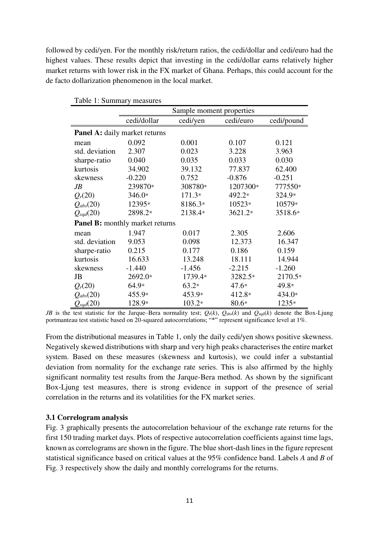followed by cedi/yen. For the monthly risk/return ratios, the cedi/dollar and cedi/euro had the highest values. These results depict that investing in the cedi/dollar earns relatively higher market returns with lower risk in the FX market of Ghana. Perhaps, this could account for the de facto dollarization phenomenon in the local market.

|                                        | Sample moment properties |          |           |            |  |
|----------------------------------------|--------------------------|----------|-----------|------------|--|
|                                        | cedi/dollar              | cedi/yen | cedi/euro | cedi/pound |  |
| <b>Panel A:</b> daily market returns   |                          |          |           |            |  |
| mean                                   | 0.092                    | 0.001    | 0.107     | 0.121      |  |
| std. deviation                         | 2.307                    | 0.023    | 3.228     | 3.963      |  |
| sharpe-ratio                           | 0.040                    | 0.035    | 0.033     | 0.030      |  |
| kurtosis                               | 34.902                   | 39.132   | 77.837    | 62.400     |  |
| skewness                               | $-0.220$                 | 0.752    | $-0.876$  | $-0.251$   |  |
| JB                                     | 239870*                  | 308780*  | 1207300*  | 777550*    |  |
| $Q_r(20)$                              | 346.0*                   | $171.3*$ | 492.2*    | 324.9*     |  |
| $Q_{abs}(20)$                          | 12395*                   | 8186.3*  | 10523*    | 10579*     |  |
| $Q_{sqd}(20)$                          | 2898.2*                  | 2138.4*  | 3621.2*   | 3518.6*    |  |
| <b>Panel B:</b> monthly market returns |                          |          |           |            |  |
| mean                                   | 1.947                    | 0.017    | 2.305     | 2.606      |  |
| std. deviation                         | 9.053                    | 0.098    | 12.373    | 16.347     |  |
| sharpe-ratio                           | 0.215                    | 0.177    | 0.186     | 0.159      |  |
| kurtosis                               | 16.633                   | 13.248   | 18.111    | 14.944     |  |
| skewness                               | $-1.440$                 | $-1.456$ | $-2.215$  | $-1.260$   |  |
| JB                                     | 2692.0*                  | 1739.4*  | 3282.5*   | 2170.5*    |  |
| $Q_r(20)$                              | $64.9*$                  | $63.2*$  | $47.6*$   | 49.8*      |  |
| $Q_{abs}(20)$                          | 455.9*                   | 453.9*   | 412.8*    | 434.0*     |  |
| $Q_{sqd}(20)$                          | 128.9*                   | $103.2*$ | $80.6*$   | 1235*      |  |

Table 1: Summary measures

*JB* is the test statistic for the Jarque–Bera normality test;  $Q_r(k)$ ,  $Q_{abs}(k)$  and  $Q_{sqd}(k)$  denote the Box-Ljung portmanteau test statistic based on 20-squared autocorrelations; "\*" represent significance level at 1%.

From the distributional measures in Table 1, only the daily cedi/yen shows positive skewness. Negatively skewed distributions with sharp and very high peaks characterises the entire market system. Based on these measures (skewness and kurtosis), we could infer a substantial deviation from normality for the exchange rate series. This is also affirmed by the highly significant normality test results from the Jarque-Bera method. As shown by the significant Box-Ljung test measures, there is strong evidence in support of the presence of serial correlation in the returns and its volatilities for the FX market series.

#### **3.1 Correlogram analysis**

Fig. 3 graphically presents the autocorrelation behaviour of the exchange rate returns for the first 150 trading market days. Plots of respective autocorrelation coefficients against time lags, known as correlograms are shown in the figure. The blue short-dash lines in the figure represent statistical significance based on critical values at the 95% confidence band. Labels *A* and *B* of Fig. 3 respectively show the daily and monthly correlograms for the returns.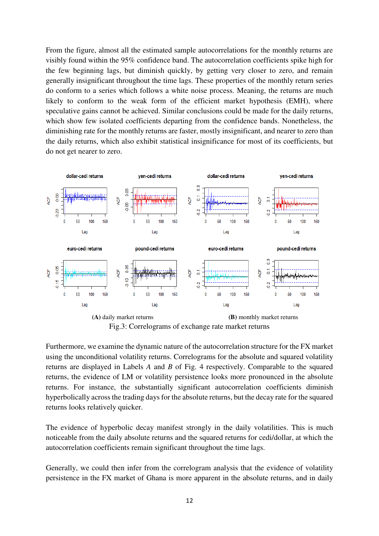From the figure, almost all the estimated sample autocorrelations for the monthly returns are visibly found within the 95% confidence band. The autocorrelation coefficients spike high for the few beginning lags, but diminish quickly, by getting very closer to zero, and remain generally insignificant throughout the time lags. These properties of the monthly return series do conform to a series which follows a white noise process. Meaning, the returns are much likely to conform to the weak form of the efficient market hypothesis (EMH), where speculative gains cannot be achieved. Similar conclusions could be made for the daily returns, which show few isolated coefficients departing from the confidence bands. Nonetheless, the diminishing rate for the monthly returns are faster, mostly insignificant, and nearer to zero than the daily returns, which also exhibit statistical insignificance for most of its coefficients, but do not get nearer to zero.



Furthermore, we examine the dynamic nature of the autocorrelation structure for the FX market using the unconditional volatility returns. Correlograms for the absolute and squared volatility returns are displayed in Labels *A* and *B* of Fig. 4 respectively. Comparable to the squared returns, the evidence of LM or volatility persistence looks more pronounced in the absolute returns. For instance, the substantially significant autocorrelation coefficients diminish hyperbolically across the trading days for the absolute returns, but the decay rate for the squared returns looks relatively quicker.

The evidence of hyperbolic decay manifest strongly in the daily volatilities. This is much noticeable from the daily absolute returns and the squared returns for cedi/dollar, at which the autocorrelation coefficients remain significant throughout the time lags.

Generally, we could then infer from the correlogram analysis that the evidence of volatility persistence in the FX market of Ghana is more apparent in the absolute returns, and in daily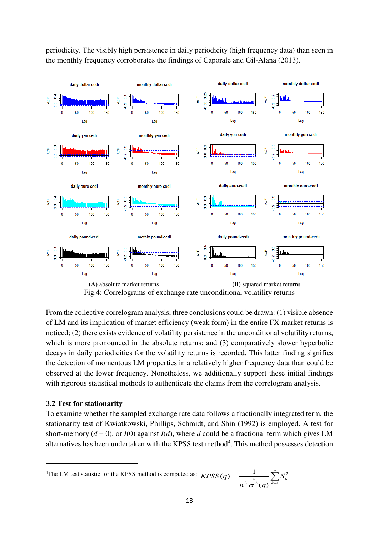

periodicity. The visibly high persistence in daily periodicity (high frequency data) than seen in the monthly frequency corroborates the findings of Caporale and Gil-Alana (2013).

Fig.4: Correlograms of exchange rate unconditional volatility returns

From the collective correlogram analysis, three conclusions could be drawn: (1) visible absence of LM and its implication of market efficiency (weak form) in the entire FX market returns is noticed; (2) there exists evidence of volatility persistence in the unconditional volatility returns, which is more pronounced in the absolute returns; and (3) comparatively slower hyperbolic decays in daily periodicities for the volatility returns is recorded. This latter finding signifies the detection of momentous LM properties in a relatively higher frequency data than could be observed at the lower frequency. Nonetheless, we additionally support these initial findings with rigorous statistical methods to authenticate the claims from the correlogram analysis.

# **3.2 Test for stationarity**

 $\overline{a}$ 

To examine whether the sampled exchange rate data follows a fractionally integrated term, the stationarity test of Kwiatkowski, Phillips, Schmidt, and Shin (1992) is employed. A test for short-memory ( $d = 0$ ), or  $I(0)$  against  $I(d)$ , where *d* could be a fractional term which gives LM alternatives has been undertaken with the KPSS test method $4$ . This method possesses detection

<sup>&</sup>lt;sup>4</sup>The LM test statistic for the KPSS method is computed as:  $KPSS(q) = \frac{1}{n^2 \left(\frac{q}{Q}\right)^{k-1}} \sum_{k=1}^{n}$  $\sum_{k=1}$ *S*<sup>2</sup><sub>*k*</sub>  $n^2 \sigma^2$  (q *KPSS q* 1 2  $2\sigma^2(q)$  $(q) = \frac{1}{\sqrt{q}}$  $\sigma$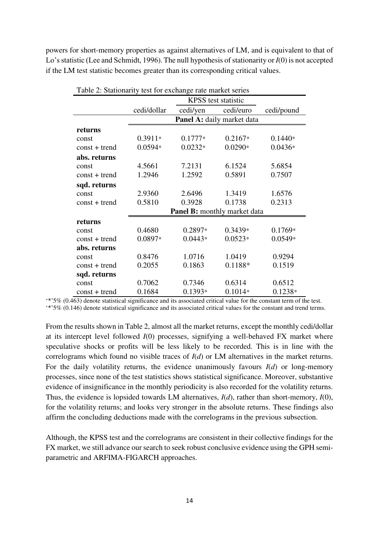powers for short-memory properties as against alternatives of LM, and is equivalent to that of Lo's statistic (Lee and Schmidt, 1996). The null hypothesis of stationarity or *I*(0) is not accepted if the LM test statistic becomes greater than its corresponding critical values.

| Table 2: Stationarity test for exchange rate market series |                                     |           |           |            |  |
|------------------------------------------------------------|-------------------------------------|-----------|-----------|------------|--|
|                                                            | <b>KPSS</b> test statistic          |           |           |            |  |
|                                                            | cedi/dollar                         | cedi/yen  | cedi/euro | cedi/pound |  |
|                                                            | <b>Panel A:</b> daily market data   |           |           |            |  |
| returns                                                    |                                     |           |           |            |  |
| const                                                      | $0.3911*$                           | $0.1777*$ | $0.2167*$ | $0.1440*$  |  |
| $const + trend$                                            | $0.0594*$                           | $0.0232*$ | $0.0290*$ | $0.0436*$  |  |
| abs. returns                                               |                                     |           |           |            |  |
| const                                                      | 4.5661                              | 7.2131    | 6.1524    | 5.6854     |  |
| $const + trend$                                            | 1.2946                              | 1.2592    | 0.5891    | 0.7507     |  |
| sqd. returns                                               |                                     |           |           |            |  |
| const                                                      | 2.9360                              | 2.6496    | 1.3419    | 1.6576     |  |
| $const + trend$                                            | 0.5810                              | 0.3928    | 0.1738    | 0.2313     |  |
|                                                            | <b>Panel B:</b> monthly market data |           |           |            |  |
| returns                                                    |                                     |           |           |            |  |
| const                                                      | 0.4680                              | $0.2897*$ | $0.3439*$ | $0.1769*$  |  |
| $const + trend$                                            | 0.0897*                             | $0.0443*$ | $0.0523*$ | $0.0549*$  |  |
| abs. returns                                               |                                     |           |           |            |  |
| const                                                      | 0.8476                              | 1.0716    | 1.0419    | 0.9294     |  |
| $const + trend$                                            | 0.2055                              | 0.1863    | 0.1188*   | 0.1519     |  |
| sqd. returns                                               |                                     |           |           |            |  |
| const                                                      | 0.7062                              | 0.7346    | 0.6314    | 0.6512     |  |
| $const + trend$                                            | 0.1684                              | $0.1393*$ | $0.1014*$ | $0.1238*$  |  |

'\*'5% (0.463) denote statistical significance and its associated critical value for the constant term of the test.

'\*'5% (0.146) denote statistical significance and its associated critical values for the constant and trend terms.

From the results shown in Table 2, almost all the market returns, except the monthly cedi/dollar at its intercept level followed *I*(0) processes, signifying a well-behaved FX market where speculative shocks or profits will be less likely to be recorded. This is in line with the correlograms which found no visible traces of *I*(*d*) or LM alternatives in the market returns. For the daily volatility returns, the evidence unanimously favours *I*(*d*) or long-memory processes, since none of the test statistics shows statistical significance. Moreover, substantive evidence of insignificance in the monthly periodicity is also recorded for the volatility returns. Thus, the evidence is lopsided towards LM alternatives, *I*(*d*), rather than short-memory, *I*(0), for the volatility returns; and looks very stronger in the absolute returns. These findings also affirm the concluding deductions made with the correlograms in the previous subsection.

Although, the KPSS test and the correlograms are consistent in their collective findings for the FX market, we still advance our search to seek robust conclusive evidence using the GPH semiparametric and ARFIMA-FIGARCH approaches.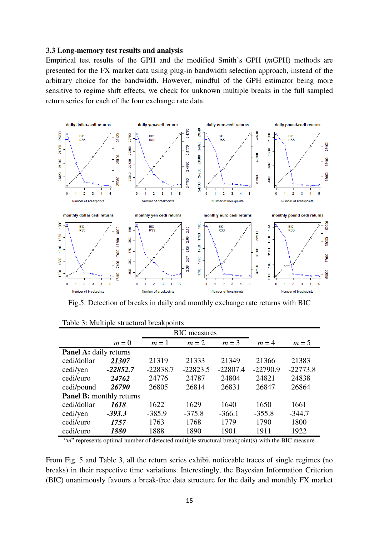#### **3.3 Long-memory test results and analysis**

Empirical test results of the GPH and the modified Smith's GPH (*m*GPH) methods are presented for the FX market data using plug-in bandwidth selection approach, instead of the arbitrary choice for the bandwidth. However, mindful of the GPH estimator being more sensitive to regime shift effects, we check for unknown multiple breaks in the full sampled return series for each of the four exchange rate data.



Fig.5: Detection of breaks in daily and monthly exchange rate returns with BIC

| <b>BIC</b> measures             |            |            |            |            |            |            |
|---------------------------------|------------|------------|------------|------------|------------|------------|
|                                 | $m=0$      | $m=1$      | $m = 2$    | $m = 3$    | $m=4$      | $m=5$      |
| <b>Panel A:</b> daily returns   |            |            |            |            |            |            |
| cedi/dollar                     | 21307      | 21319      | 21333      | 21349      | 21366      | 21383      |
| cedi/yen                        | $-22852.7$ | $-22838.7$ | $-22823.5$ | $-22807.4$ | $-22790.9$ | $-22773.8$ |
| cedi/euro                       | 24762      | 24776      | 24787      | 24804      | 24821      | 24838      |
| cedi/pound                      | 26790      | 26805      | 26814      | 26831      | 26847      | 26864      |
| <b>Panel B:</b> monthly returns |            |            |            |            |            |            |
| cedi/dollar                     | 1618       | 1622       | 1629       | 1640       | 1650       | 1661       |
| cedi/yen                        | $-393.3$   | $-385.9$   | $-375.8$   | $-366.1$   | $-355.8$   | $-344.7$   |
| cedi/euro                       | 1757       | 1763       | 1768       | 1779       | 1790       | 1800       |
| cedi/euro                       | 1880       | 1888       | 1890       | 1901       | 1911       | 1922       |

Table 3: Multiple structural breakpoints

"*m*" represents optimal number of detected multiple structural breakpoint(s) with the BIC measure

From Fig. 5 and Table 3, all the return series exhibit noticeable traces of single regimes (no breaks) in their respective time variations. Interestingly, the Bayesian Information Criterion (BIC) unanimously favours a break-free data structure for the daily and monthly FX market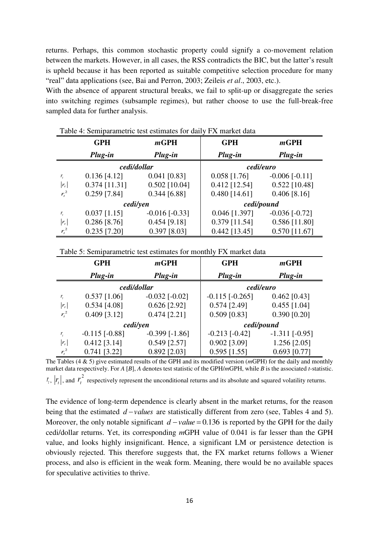returns. Perhaps, this common stochastic property could signify a co-movement relation between the markets. However, in all cases, the RSS contradicts the BIC, but the latter's result is upheld because it has been reported as suitable competitive selection procedure for many "real" data applications (see, Bai and Perron, 2003; Zeileis *et al*., 2003, etc.).

With the absence of apparent structural breaks, we fail to split-up or disaggregate the series into switching regimes (subsample regimes), but rather choose to use the full-break-free sampled data for further analysis.

|           | <b>GPH</b>      | mGPH                 | <b>GPH</b>      | mGPH                 |  |
|-----------|-----------------|----------------------|-----------------|----------------------|--|
|           | Plug-in         | Plug-in              | Plug-in         | Plug-in              |  |
|           | cedi/dollar     |                      | cedi/euro       |                      |  |
| $r_{i}$   | $0.136$ [4.12]  | $0.041$ [0.83]       | $0.058$ [1.76]  | $-0.006$ [ $-0.11$ ] |  |
| $ r_{t} $ | $0.374$ [11.31] | $0.502$ [10.04]      | $0.412$ [12.54] | $0.522$ [10.48]      |  |
| $r_t^2$   | $0.259$ [7.84]  | $0.344$ [6.88]       | $0.480$ [14.61] | $0.406$ [8.16]       |  |
|           | cedi/yen        |                      |                 | cedi/pound           |  |
| $r_{i}$   | $0.037$ [1.15]  | $-0.016$ [ $-0.33$ ] | $0.046$ [1.397] | $-0.036$ [ $-0.72$ ] |  |
| $r_{t}$   | $0.286$ [8.76]  | $0.454$ [9.18]       | $0.379$ [11.54] | $0.586$ [11.80]      |  |
| $r_t^2$   | $0.235$ [7.20]  | $0.397$ [8.03]       | $0.442$ [13.45] | $0.570$ [11.67]      |  |

Table 4: Semiparametric test estimates for daily FX market data

Table 5: Semiparametric test estimates for monthly FX market data

|         | <b>GPH</b>           | mGPH                 | <b>GPH</b>            | mGPH               |  |
|---------|----------------------|----------------------|-----------------------|--------------------|--|
|         | Plug-in              | Plug-in              | Plug-in               | Plug-in            |  |
|         | cedi/dollar          |                      | cedi/euro             |                    |  |
| r,      | $0.537$ [1.06]       | $-0.032$ [ $-0.02$ ] | $-0.115$ [ $-0.265$ ] | $0.462$ [0.43]     |  |
| $r_{t}$ | $0.534$ [4.08]       | $0.626$ [2.92]       | $0.574$ [2.49]        | $0.455$ [1.04]     |  |
| $r_t^2$ | $0.409$ [3.12]       | $0.474$ [2.21]       | $0.509$ [0.83]        | $0.390$ [0.20]     |  |
|         |                      | cedi/yen             | cedi/pound            |                    |  |
| r,      | $-0.115$ [ $-0.88$ ] | $-0.399$ [ $-1.86$ ] | $-0.213$ [ $-0.42$ ]  | $-1.311$ $[-0.95]$ |  |
| $r_{t}$ | $0.412$ [3.14]       | $0.549$ [2.57]       | $0.902$ [3.09]        | $1.256$ [2.05]     |  |
| $r_t^2$ | $0.741$ [3.22]       | $0.892$ [2.03]       | $0.595$ [1.55]        | $0.693$ [0.77]     |  |

The Tables (4 & 5) give estimated results of the GPH and its modified version (*m*GPH) for the daily and monthly market data respectively. For *A* [*B*], *A* denotes test statistic of the GPH/*m*GPH, while *B* is the associated *t*-statistic.  $r_t$ ,  $|r_t|$ , and  $r_t^2$  $r_t^2$  respectively represent the unconditional returns and its absolute and squared volatility returns.

The evidence of long-term dependence is clearly absent in the market returns, for the reason being that the estimated  $d$  –*values* are statistically different from zero (see, Tables 4 and 5). Moreover, the only notable significant  $d$  – *value* = 0.136 is reported by the GPH for the daily cedi/dollar returns. Yet, its corresponding *m*GPH value of 0.041 is far lesser than the GPH value, and looks highly insignificant. Hence, a significant LM or persistence detection is obviously rejected. This therefore suggests that, the FX market returns follows a Wiener process, and also is efficient in the weak form. Meaning, there would be no available spaces for speculative activities to thrive.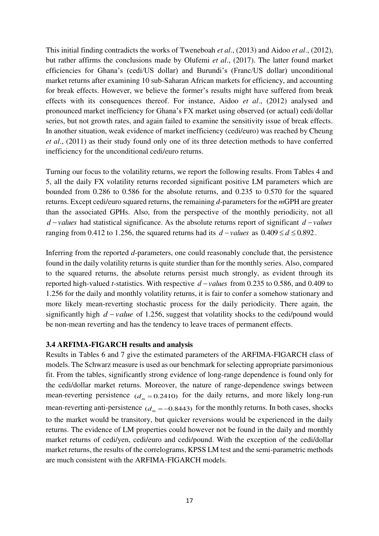This initial finding contradicts the works of Tweneboah *et al*., (2013) and Aidoo *et al*., (2012), but rather affirms the conclusions made by Olufemi *et al*., (2017). The latter found market efficiencies for Ghana's (cedi/US dollar) and Burundi's (Franc/US dollar) unconditional market returns after examining 10 sub-Saharan African markets for efficiency, and accounting for break effects. However, we believe the former's results might have suffered from break effects with its consequences thereof. For instance, Aidoo *et al*., (2012) analysed and pronounced market inefficiency for Ghana's FX market using observed (or actual) cedi/dollar series, but not growth rates, and again failed to examine the sensitivity issue of break effects. In another situation, weak evidence of market inefficiency (cedi/euro) was reached by Cheung *et al*., (2011) as their study found only one of its three detection methods to have conferred inefficiency for the unconditional cedi/euro returns.

Turning our focus to the volatility returns, we report the following results. From Tables 4 and 5, all the daily FX volatility returns recorded significant positive LM parameters which are bounded from 0.286 to 0.586 for the absolute returns, and 0.235 to 0.570 for the squared returns. Except cedi/euro squared returns, the remaining *d*-parameters for the *m*GPH are greater than the associated GPHs. Also, from the perspective of the monthly periodicity, not all  $d$  – *values* had statistical significance. As the absolute returns report of significant  $d$  – *values* ranging from 0.412 to 1.256, the squared returns had its  $d$  – *values* as  $0.409 \le d \le 0.892$ .

Inferring from the reported *d*-parameters, one could reasonably conclude that, the persistence found in the daily volatility returns is quite sturdier than for the monthly series. Also, compared to the squared returns, the absolute returns persist much strongly, as evident through its reported high-valued *t*-statistics. With respective  $d$  – *values* from 0.235 to 0.586, and 0.409 to 1.256 for the daily and monthly volatility returns, it is fair to confer a somehow stationary and more likely mean-reverting stochastic process for the daily periodicity. There again, the significantly high  $d$  – *value* of 1.256, suggest that volatility shocks to the cedi/pound would be non-mean reverting and has the tendency to leave traces of permanent effects.

#### **3.4 ARFIMA-FIGARCH results and analysis**

Results in Tables 6 and 7 give the estimated parameters of the ARFIMA-FIGARCH class of models. The Schwarz measure is used as our benchmark for selecting appropriate parsimonious fit. From the tables, significantly strong evidence of long-range dependence is found only for the cedi/dollar market returns. Moreover, the nature of range-dependence swings between mean-reverting persistence  $(d_m = 0.2410)$  for the daily returns, and more likely long-run mean-reverting anti-persistence  $(d_m = -0.8443)$  for the monthly returns. In both cases, shocks to the market would be transitory, but quicker reversions would be experienced in the daily returns. The evidence of LM properties could however not be found in the daily and monthly market returns of cedi/yen, cedi/euro and cedi/pound. With the exception of the cedi/dollar market returns, the results of the correlograms, KPSS LM test and the semi-parametric methods are much consistent with the ARFIMA-FIGARCH models.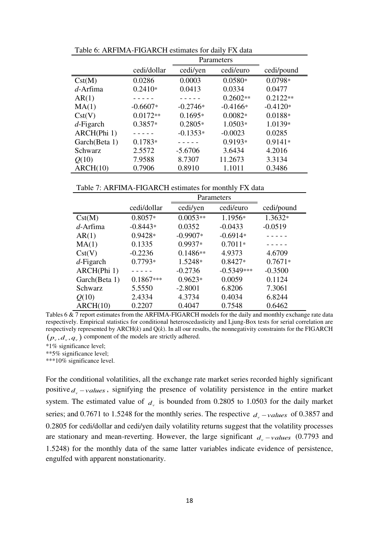|               | cedi/dollar | cedi/yen   | cedi/euro  | cedi/pound |
|---------------|-------------|------------|------------|------------|
| Cst(M)        | 0.0286      | 0.0003     | $0.0580*$  | $0.0798*$  |
| $d$ -Arfima   | $0.2410*$   | 0.0413     | 0.0334     | 0.0477     |
| AR(1)         |             |            | $0.2602**$ | $0.2122**$ |
| MA(1)         | $-0.6607*$  | $-0.2746*$ | $-0.4166*$ | $-0.4120*$ |
| Cst(V)        | $0.0172**$  | $0.1695*$  | $0.0082*$  | $0.0188*$  |
| $d$ -Figarch  | $0.3857*$   | $0.2805*$  | 1.0503*    | $1.0139*$  |
| ARCH(Phi 1)   |             | $-0.1353*$ | $-0.0023$  | 0.0285     |
| Garch(Beta 1) | $0.1783*$   |            | $0.9193*$  | $0.9141*$  |
| Schwarz       | 2.5572      | $-5.6706$  | 3.6434     | 4.2016     |
| Q(10)         | 7.9588      | 8.7307     | 11.2673    | 3.3134     |
| ARCH(10)      | 0.7906      | 0.8910     | 1.1011     | 0.3486     |

Table 6: ARFIMA-FIGARCH estimates for daily FX data

Table 7: ARFIMA-FIGARCH estimates for monthly FX data

|               |             | Parameters |              |            |
|---------------|-------------|------------|--------------|------------|
|               | cedi/dollar | cedi/yen   | cedi/euro    | cedi/pound |
| Cst(M)        | $0.8057*$   | $0.0053**$ | 1.1956*      | 1.3632*    |
| d-Arfima      | $-0.8443*$  | 0.0352     | $-0.0433$    | $-0.0519$  |
| AR(1)         | $0.9428*$   | $-0.9907*$ | $-0.6914*$   |            |
| MA(1)         | 0.1335      | $0.9937*$  | $0.7011*$    |            |
| Cst(V)        | $-0.2236$   | $0.1486**$ | 4.9373       | 4.6709     |
| $d$ -Figarch  | $0.7793*$   | 1.5248*    | $0.8427*$    | $0.7671*$  |
| ARCH(Phi 1)   |             | $-0.2736$  | $-0.5349***$ | $-0.3500$  |
| Garch(Beta 1) | $0.1867***$ | $0.9623*$  | 0.0059       | 0.1124     |
| Schwarz       | 5.5550      | $-2.8001$  | 6.8206       | 7.3061     |
| Q(10)         | 2.4334      | 4.3734     | 0.4034       | 6.8244     |
| ARCH(10)      | 0.2207      | 0.4047     | 0.7548       | 0.6462     |

Tables 6 & 7 report estimates from the ARFIMA-FIGARCH models for the daily and monthly exchange rate data respectively. Empirical statistics for conditional heteroscedasticity and Ljung-Box tests for serial correlation are respectively represented by ARCH(*k*) and Q(*k*). In all our results, the nonnegativity constraints for the FIGARCH  $(p_v, d_v, q_v)$  component of the models are strictly adhered.

\*1% significance level;

\*\*5% significance level;

\*\*\*10% significance level.

For the conditional volatilities, all the exchange rate market series recorded highly significant positive  $d_v$  – *values*, signifying the presence of volatility persistence in the entire market system. The estimated value of  $d<sub>v</sub>$  is bounded from 0.2805 to 1.0503 for the daily market series; and 0.7671 to 1.5248 for the monthly series. The respective  $d_v$  – *values* of 0.3857 and 0.2805 for cedi/dollar and cedi/yen daily volatility returns suggest that the volatility processes are stationary and mean-reverting. However, the large significant  $d_v$  – *values* (0.7793 and 1.5248) for the monthly data of the same latter variables indicate evidence of persistence, engulfed with apparent nonstationarity.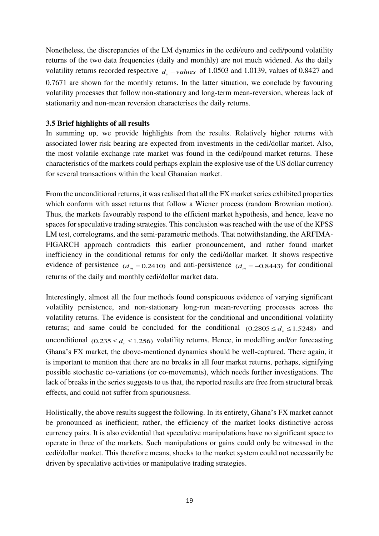Nonetheless, the discrepancies of the LM dynamics in the cedi/euro and cedi/pound volatility returns of the two data frequencies (daily and monthly) are not much widened. As the daily volatility returns recorded respective  $d_v$  – *values* of 1.0503 and 1.0139, values of 0.8427 and 0.7671 are shown for the monthly returns. In the latter situation, we conclude by favouring volatility processes that follow non-stationary and long-term mean-reversion, whereas lack of stationarity and non-mean reversion characterises the daily returns.

# **3.5 Brief highlights of all results**

In summing up, we provide highlights from the results. Relatively higher returns with associated lower risk bearing are expected from investments in the cedi/dollar market. Also, the most volatile exchange rate market was found in the cedi/pound market returns. These characteristics of the markets could perhaps explain the explosive use of the US dollar currency for several transactions within the local Ghanaian market.

From the unconditional returns, it was realised that all the FX market series exhibited properties which conform with asset returns that follow a Wiener process (random Brownian motion). Thus, the markets favourably respond to the efficient market hypothesis, and hence, leave no spaces for speculative trading strategies. This conclusion was reached with the use of the KPSS LM test, correlograms, and the semi-parametric methods. That notwithstanding, the ARFIMA-FIGARCH approach contradicts this earlier pronouncement, and rather found market inefficiency in the conditional returns for only the cedi/dollar market. It shows respective evidence of persistence  $(d_m = 0.2410)$  and anti-persistence  $(d_m = -0.8443)$  for conditional returns of the daily and monthly cedi/dollar market data.

Interestingly, almost all the four methods found conspicuous evidence of varying significant volatility persistence, and non-stationary long-run mean-reverting processes across the volatility returns. The evidence is consistent for the conditional and unconditional volatility returns; and same could be concluded for the conditional  $(0.2805 \le d_v \le 1.5248)$  and unconditional  $(0.235 \le d_v \le 1.256)$  volatility returns. Hence, in modelling and/or forecasting Ghana's FX market, the above-mentioned dynamics should be well-captured. There again, it is important to mention that there are no breaks in all four market returns, perhaps, signifying possible stochastic co-variations (or co-movements), which needs further investigations. The lack of breaks in the series suggests to us that, the reported results are free from structural break effects, and could not suffer from spuriousness.

Holistically, the above results suggest the following. In its entirety, Ghana's FX market cannot be pronounced as inefficient; rather, the efficiency of the market looks distinctive across currency pairs. It is also evidential that speculative manipulations have no significant space to operate in three of the markets. Such manipulations or gains could only be witnessed in the cedi/dollar market. This therefore means, shocks to the market system could not necessarily be driven by speculative activities or manipulative trading strategies.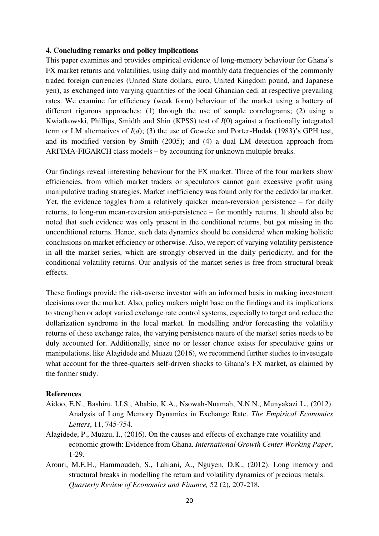## **4. Concluding remarks and policy implications**

This paper examines and provides empirical evidence of long-memory behaviour for Ghana's FX market returns and volatilities, using daily and monthly data frequencies of the commonly traded foreign currencies (United State dollars, euro, United Kingdom pound, and Japanese yen), as exchanged into varying quantities of the local Ghanaian cedi at respective prevailing rates. We examine for efficiency (weak form) behaviour of the market using a battery of different rigorous approaches: (1) through the use of sample correlograms; (2) using a Kwiatkowski, Phillips, Smidth and Shin (KPSS) test of *I*(0) against a fractionally integrated term or LM alternatives of *I*(*d*); (3) the use of Geweke and Porter-Hudak (1983)'s GPH test, and its modified version by Smith (2005); and (4) a dual LM detection approach from ARFIMA-FIGARCH class models – by accounting for unknown multiple breaks.

Our findings reveal interesting behaviour for the FX market. Three of the four markets show efficiencies, from which market traders or speculators cannot gain excessive profit using manipulative trading strategies. Market inefficiency was found only for the cedi/dollar market. Yet, the evidence toggles from a relatively quicker mean-reversion persistence – for daily returns, to long-run mean-reversion anti-persistence – for monthly returns. It should also be noted that such evidence was only present in the conditional returns, but got missing in the unconditional returns. Hence, such data dynamics should be considered when making holistic conclusions on market efficiency or otherwise. Also, we report of varying volatility persistence in all the market series, which are strongly observed in the daily periodicity, and for the conditional volatility returns. Our analysis of the market series is free from structural break effects.

These findings provide the risk-averse investor with an informed basis in making investment decisions over the market. Also, policy makers might base on the findings and its implications to strengthen or adopt varied exchange rate control systems, especially to target and reduce the dollarization syndrome in the local market. In modelling and/or forecasting the volatility returns of these exchange rates, the varying persistence nature of the market series needs to be duly accounted for. Additionally, since no or lesser chance exists for speculative gains or manipulations, like Alagidede and Muazu (2016), we recommend further studies to investigate what account for the three-quarters self-driven shocks to Ghana's FX market, as claimed by the former study.

#### **References**

- Aidoo, E.N., Bashiru, I.I.S., Ababio, K.A., Nsowah-Nuamah, N.N.N., Munyakazi L., (2012). Analysis of Long Memory Dynamics in Exchange Rate. *The Empirical Economics Letters*, 11, 745-754.
- Alagidede, P., Muazu, I., (2016). On the causes and effects of exchange rate volatility and economic growth: Evidence from Ghana. *International Growth Center Working Paper*, 1-29.
- Arouri, M.E.H., Hammoudeh, S., Lahiani, A., Nguyen, D.K., (2012). Long memory and structural breaks in modelling the return and volatility dynamics of precious metals.  *Quarterly Review of Economics and Finance,* 52 (2), 207-218*.*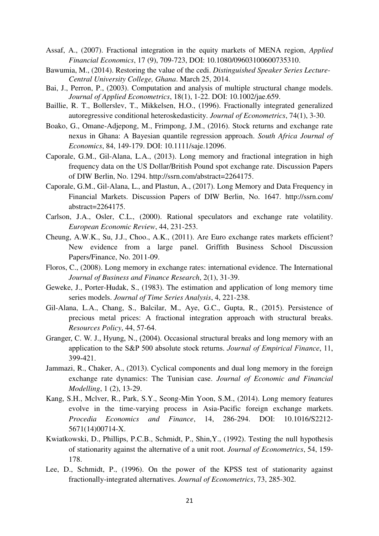- Assaf, A., (2007). Fractional integration in the equity markets of MENA region, *Applied Financial Economics*, 17 (9), 709-723, DOI: 10.1080/09603100600735310.
- Bawumia, M., (2014). Restoring the value of the cedi. *Distinguished Speaker Series Lecture- Central University College, Ghana*. March 25, 2014.
- Bai, J., Perron, P., (2003). Computation and analysis of multiple structural change models. *Journal of Applied Econometrics*, 18(1), 1-22. DOI: 10.1002/jae.659.
- Baillie, R. T., Bollerslev, T., Mikkelsen, H.O., (1996). Fractionally integrated generalized autoregressive conditional heteroskedasticity. *Journal of Econometrics*, 74(1), 3-30.
- Boako, G., Omane-Adjepong, M., Frimpong, J.M., (2016). Stock returns and exchange rate nexus in Ghana: A Bayesian quantile regression approach. *South Africa Journal of Economics*, 84, 149-179. DOI: 10.1111/saje.12096.
- Caporale, G.M., Gil-Alana, L.A., (2013). Long memory and fractional integration in high frequency data on the US Dollar/British Pound spot exchange rate. Discussion Papers of DIW Berlin, No. 1294. http://ssrn.com/abstract=2264175.
- Caporale, G.M., Gil-Alana, L., and Plastun, A., (2017). Long Memory and Data Frequency in Financial Markets. Discussion Papers of DIW Berlin, No. 1647. <http://ssrn.com/> abstract=2264175.
- Carlson, J.A., Osler, C.L., (2000). Rational speculators and exchange rate volatility. *European Economic Review*, 44, 231-253.
- Cheung, A.W.K., Su, J.J., Choo., A.K., (2011). Are Euro exchange rates markets efficient? New evidence from a large panel. Griffith Business School Discussion Papers/Finance, No. 2011-09.
- Floros, C., (2008). Long memory in exchange rates: international evidence. The International *Journal of Business and Finance Research*, 2(1), 31-39.
- Geweke, J., Porter-Hudak, S., (1983). The estimation and application of long memory time series models. *Journal of Time Series Analysis*, 4, 221-238.
- Gil-Alana, L.A., Chang, S., Balcilar, M., Aye, G.C., Gupta, R., (2015). Persistence of precious metal prices: A fractional integration approach with structural breaks. *Resources Policy*, 44, 57-64.
- Granger, C. W. J., Hyung, N., (2004). Occasional structural breaks and long memory with an application to the S&P 500 absolute stock returns. *Journal of Empirical Finance*, 11, 399-421.
- Jammazi, R., Chaker, A., (2013). Cyclical components and dual long memory in the foreign exchange rate dynamics: The Tunisian case. *Journal of Economic and Financial Modelling*, 1 (2), 13-29.
- Kang, S.H., Mclver, R., Park, S.Y., Seong-Min Yoon, S.M., (2014). Long memory features evolve in the time-varying process in Asia-Pacific foreign exchange markets. *Procedia Economics and Finance*, 14, 286-294. DOI: 10.1016/S2212- 5671(14)00714-X.
- Kwiatkowski, D., Phillips, P.C.B., Schmidt, P., Shin,Y., (1992). Testing the null hypothesis of stationarity against the alternative of a unit root. *Journal of Econometrics*, 54, 159- 178.
- Lee, D., Schmidt, P., (1996). On the power of the KPSS test of stationarity against fractionally-integrated alternatives. *Journal of Econometrics*, 73, 285-302.